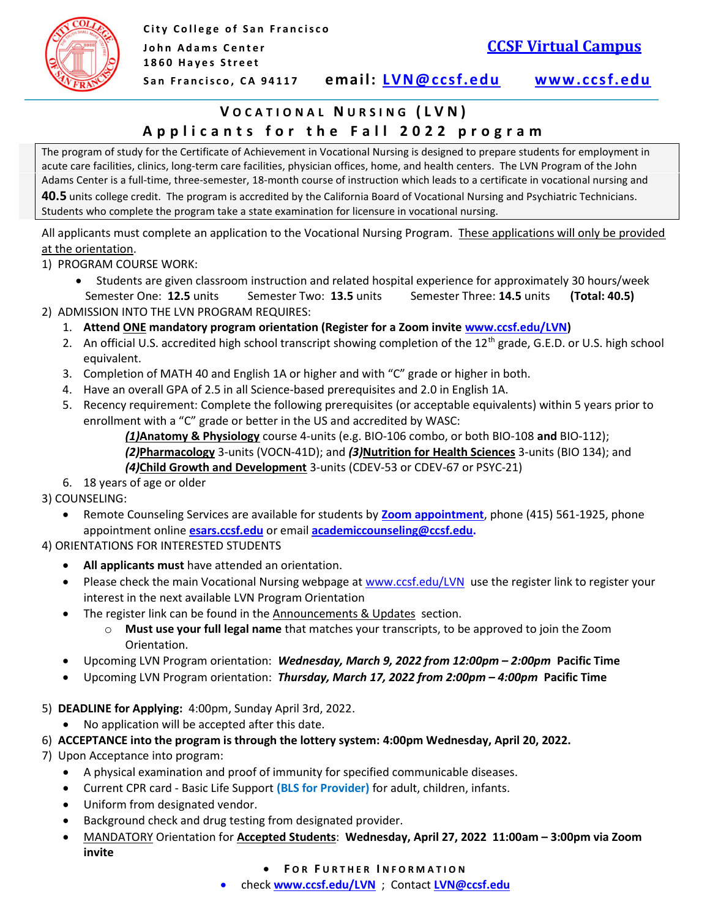

# Applicants for the Fall 2022 program VOCATIONAL NURSING (LVN)

 The program of study for the Certificate of Achievement in Vocational Nursing is designed to prepare students for employment in acute care facilities, clinics, long-term care facilities, physician offices, home, and health centers. The LVN Program of the John Adams Center is a full-time, three-semester, 18-month course of instruction which leads to a certificate in vocational nursing and 40.5 units college credit. The program is accredited by the California Board of Vocational Nursing and Psychiatric Technicians. Students who complete the program take a state examination for licensure in vocational nursing.

All applicants must complete an application to the Vocational Nursing Program. These applications will only be provided at the orientation.

1) PROGRAM COURSE WORK:

- Students are given classroom instruction and related hospital experience for approximately 30 hours/week Semester One: 12.5 units Semester Two: 13.5 units Semester Three: 14.5 units (Total: 40.5)
- 2) ADMISSION INTO THE LVN PROGRAM REQUIRES:
	- 1. Attend ONE mandatory program orientation (Register for a Zoom invite <www.ccsf.edu/LVN>)
	- 2. An official U.S. accredited high school transcript showing completion of the 12<sup>th</sup> grade, G.E.D. or U.S. high school equivalent.
	- 3. Completion of MATH 40 and English 1A or higher and with "C" grade or higher in both.
	- 4. Have an overall GPA of 2.5 in all Science-based prerequisites and 2.0 in English 1A.
	- 5. Recency requirement: Complete the following prerequisites (or acceptable equivalents) within 5 years prior to enrollment with a "C" grade or better in the US and accredited by WASC:

(1)Anatomy & Physiology course 4-units (e.g. BIO-106 combo, or both BIO-108 and BIO-112); (2)Pharmacology 3-units (VOCN-41D); and (3)Nutrition for Health Sciences 3-units (BIO 134); and (4)Child Growth and Development 3-units (CDEV-53 or CDEV-67 or PSYC-21)

6. 18 years of age or older

3) COUNSELING:

• Remote Counseling Services are available for students by **Zoom appointment**, phone (415) 561-1925, phone appointment online *[esars.ccsf.edu](https://esars.ccsf.edu)* or email **academiccounseling@ccsf.edu**.

## 4) ORIENTATIONS FOR INTERESTED STUDENTS

- All applicants must have attended an orientation.
- Please check the main Vocational Nursing webpage at **<www.ccsf.edu/LVN>** use the register link to register your interest in the next available LVN Program Orientation
- The register link can be found in the Announcements & Updates section.
	- o Must use your full legal name that matches your transcripts, to be approved to join the Zoom Orientation.
- Upcoming LVN Program orientation: Wednesday, March 9, 2022 from 12:00pm 2:00pm Pacific Time
- Upcoming LVN Program orientation: Thursday, March 17, 2022 from 2:00pm 4:00pm Pacific Time
- 5) DEADLINE for Applying: 4:00pm, Sunday April 3rd, 2022.
	- No application will be accepted after this date.
- 6) ACCEPTANCE into the program is through the lottery system: 4:00pm Wednesday, April 20, 2022.
- 7) Upon Acceptance into program:
	- A physical examination and proof of immunity for specified communicable diseases.
	- Current CPR card Basic Life Support (BLS for Provider) for adult, children, infants.
	- Uniform from designated vendor.
	- Background check and drug testing from designated provider.
	- MANDATORY Orientation for Accepted Students: Wednesday, April 27, 2022 11:00am 3:00pm via Zoom invite
		- **FOR FURTHER INFORMATION**
		- check <www.ccsf.edu/LVN> ; Contact [LVN@ccsf.edu](mailto:LVN@ccsf.edu)